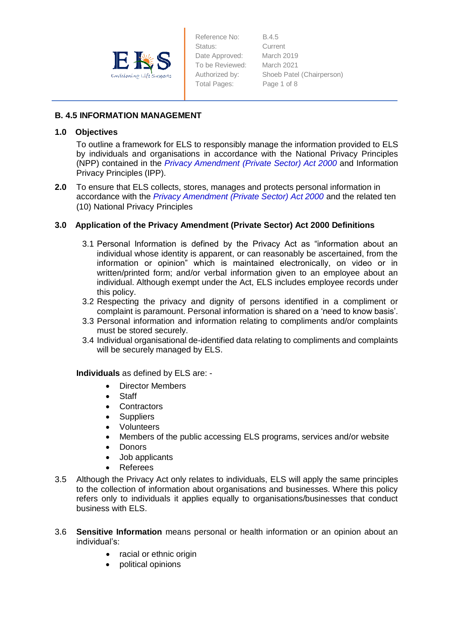

Reference No: B.4.5 Status: Current Date Approved: March 2019 To be Reviewed: March 2021 Total Pages: Page 1 of 8

Authorized by: Shoeb Patel (Chairperson)

## **B. 4.5 INFORMATION MANAGEMENT**

## **1.0 Objectives**

To outline a framework for ELS to responsibly manage the information provided to ELS by individuals and organisations in accordance with the National Privacy Principles (NPP) contained in the *Privacy Amendment (Private Sector) Act 2000* and Information Privacy Principles (IPP).

**2.0** To ensure that ELS collects, stores, manages and protects personal information in accordance with the *Privacy Amendment (Private Sector) Act 2000* and the related ten (10) National Privacy Principles

# **3.0 Application of the Privacy Amendment (Private Sector) Act 2000 Definitions**

- 3.1 Personal Information is defined by the Privacy Act as "information about an individual whose identity is apparent, or can reasonably be ascertained, from the information or opinion" which is maintained electronically, on video or in written/printed form; and/or verbal information given to an employee about an individual. Although exempt under the Act, ELS includes employee records under this policy.
- 3.2 Respecting the privacy and dignity of persons identified in a compliment or complaint is paramount. Personal information is shared on a 'need to know basis'.
- 3.3 Personal information and information relating to compliments and/or complaints must be stored securely.
- 3.4 Individual organisational de-identified data relating to compliments and complaints will be securely managed by ELS.

### **Individuals** as defined by ELS are: -

- Director Members
- Staff
- Contractors
- Suppliers
- Volunteers
- Members of the public accessing ELS programs, services and/or website
- Donors
- Job applicants
- Referees
- 3.5 Although the Privacy Act only relates to individuals, ELS will apply the same principles to the collection of information about organisations and businesses. Where this policy refers only to individuals it applies equally to organisations/businesses that conduct business with ELS.
- 3.6 **Sensitive Information** means personal or health information or an opinion about an individual's:
	- racial or ethnic origin
	- political opinions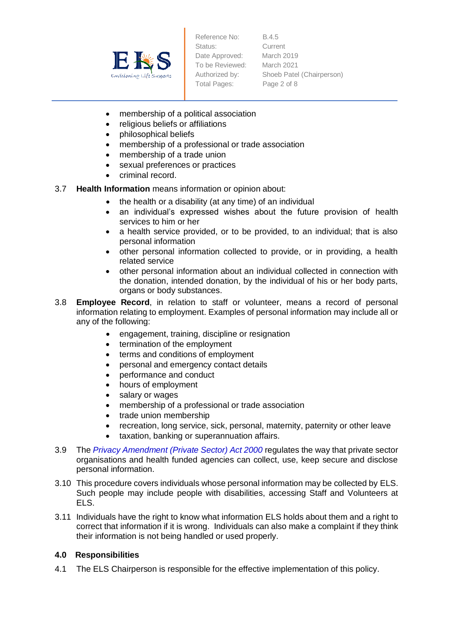

Reference No: B.4.5 Status: Current Date Approved: March 2019 To be Reviewed: March 2021 Total Pages: Page 2 of 8

Authorized by: Shoeb Patel (Chairperson)

- membership of a political association
- religious beliefs or affiliations
- philosophical beliefs
- membership of a professional or trade association
- membership of a trade union
- sexual preferences or practices
- criminal record.

## 3.7 **Health Information** means information or opinion about:

- the health or a disability (at any time) of an individual
- an individual's expressed wishes about the future provision of health services to him or her
- a health service provided, or to be provided, to an individual; that is also personal information
- other personal information collected to provide, or in providing, a health related service
- other personal information about an individual collected in connection with the donation, intended donation, by the individual of his or her body parts, organs or body substances.
- 3.8 **Employee Record**, in relation to staff or volunteer, means a record of personal information relating to employment. Examples of personal information may include all or any of the following:
	- engagement, training, discipline or resignation
	- termination of the employment
	- terms and conditions of employment
	- personal and emergency contact details
	- performance and conduct
	- hours of employment
	- salary or wages
	- membership of a professional or trade association
	- trade union membership
	- recreation, long service, sick, personal, maternity, paternity or other leave
	- taxation, banking or superannuation affairs.
- 3.9 The *Privacy Amendment (Private Sector) Act 2000* regulates the way that private sector organisations and health funded agencies can collect, use, keep secure and disclose personal information.
- 3.10 This procedure covers individuals whose personal information may be collected by ELS. Such people may include people with disabilities, accessing Staff and Volunteers at ELS.
- 3.11 Individuals have the right to know what information ELS holds about them and a right to correct that information if it is wrong. Individuals can also make a complaint if they think their information is not being handled or used properly.

### **4.0 Responsibilities**

4.1 The ELS Chairperson is responsible for the effective implementation of this policy.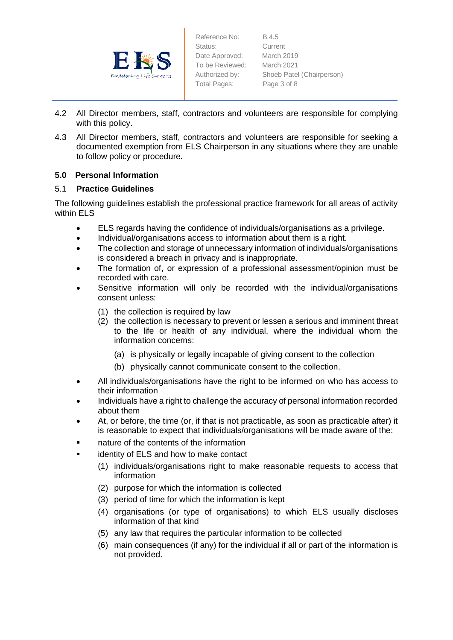

Reference No: B.4.5 Status: Current Date Approved: March 2019 To be Reviewed: March 2021 Total Pages: Page 3 of 8

Authorized by: Shoeb Patel (Chairperson)

- 4.2 All Director members, staff, contractors and volunteers are responsible for complying with this policy.
- 4.3 All Director members, staff, contractors and volunteers are responsible for seeking a documented exemption from ELS Chairperson in any situations where they are unable to follow policy or procedure.

## **5.0 Personal Information**

## 5.1 **Practice Guidelines**

The following guidelines establish the professional practice framework for all areas of activity within ELS

- ELS regards having the confidence of individuals/organisations as a privilege.
- Individual/organisations access to information about them is a right.
- The collection and storage of unnecessary information of individuals/organisations is considered a breach in privacy and is inappropriate.
- The formation of, or expression of a professional assessment/opinion must be recorded with care.
- Sensitive information will only be recorded with the individual/organisations consent unless:
	- (1) the collection is required by law
	- (2) the collection is necessary to prevent or lessen a serious and imminent threat to the life or health of any individual, where the individual whom the information concerns:
		- (a) is physically or legally incapable of giving consent to the collection
		- (b) physically cannot communicate consent to the collection.
- All individuals/organisations have the right to be informed on who has access to their information
- Individuals have a right to challenge the accuracy of personal information recorded about them
- At, or before, the time (or, if that is not practicable, as soon as practicable after) it is reasonable to expect that individuals/organisations will be made aware of the:
- nature of the contents of the information
- **EXEC** identity of ELS and how to make contact
	- (1) individuals/organisations right to make reasonable requests to access that information
	- (2) purpose for which the information is collected
	- (3) period of time for which the information is kept
	- (4) organisations (or type of organisations) to which ELS usually discloses information of that kind
	- (5) any law that requires the particular information to be collected
	- (6) main consequences (if any) for the individual if all or part of the information is not provided.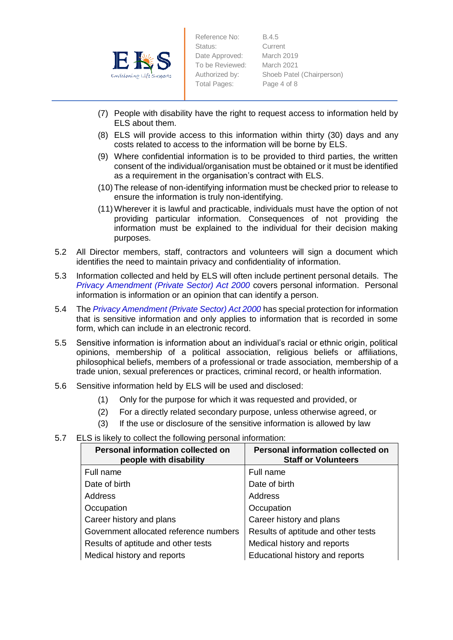

Reference No: B.4.5 Status: Current Date Approved: March 2019 To be Reviewed: March 2021 Total Pages: Page 4 of 8

Authorized by: Shoeb Patel (Chairperson)

- (7) People with disability have the right to request access to information held by ELS about them.
- (8) ELS will provide access to this information within thirty (30) days and any costs related to access to the information will be borne by ELS.
- (9) Where confidential information is to be provided to third parties, the written consent of the individual/organisation must be obtained or it must be identified as a requirement in the organisation's contract with ELS.
- (10)The release of non-identifying information must be checked prior to release to ensure the information is truly non-identifying.
- (11)Wherever it is lawful and practicable, individuals must have the option of not providing particular information. Consequences of not providing the information must be explained to the individual for their decision making purposes.
- 5.2 All Director members, staff, contractors and volunteers will sign a document which identifies the need to maintain privacy and confidentiality of information.
- 5.3 Information collected and held by ELS will often include pertinent personal details. The *Privacy Amendment (Private Sector) Act 2000* covers personal information. Personal information is information or an opinion that can identify a person.
- 5.4 The *Privacy Amendment (Private Sector) Act 2000* has special protection for information that is sensitive information and only applies to information that is recorded in some form, which can include in an electronic record.
- 5.5 Sensitive information is information about an individual's racial or ethnic origin, political opinions, membership of a political association, religious beliefs or affiliations, philosophical beliefs, members of a professional or trade association, membership of a trade union, sexual preferences or practices, criminal record, or health information.
- 5.6 Sensitive information held by ELS will be used and disclosed:
	- (1) Only for the purpose for which it was requested and provided, or
	- (2) For a directly related secondary purpose, unless otherwise agreed, or
	- (3) If the use or disclosure of the sensitive information is allowed by law
- 5.7 ELS is likely to collect the following personal information:

| <b>Personal information collected on</b><br>people with disability | <b>Personal information collected on</b><br><b>Staff or Volunteers</b> |
|--------------------------------------------------------------------|------------------------------------------------------------------------|
| Full name                                                          | Full name                                                              |
| Date of birth                                                      | Date of birth                                                          |
| Address                                                            | Address                                                                |
| Occupation                                                         | Occupation                                                             |
| Career history and plans                                           | Career history and plans                                               |
| Government allocated reference numbers                             | Results of aptitude and other tests                                    |
| Results of aptitude and other tests                                | Medical history and reports                                            |
| Medical history and reports                                        | Educational history and reports                                        |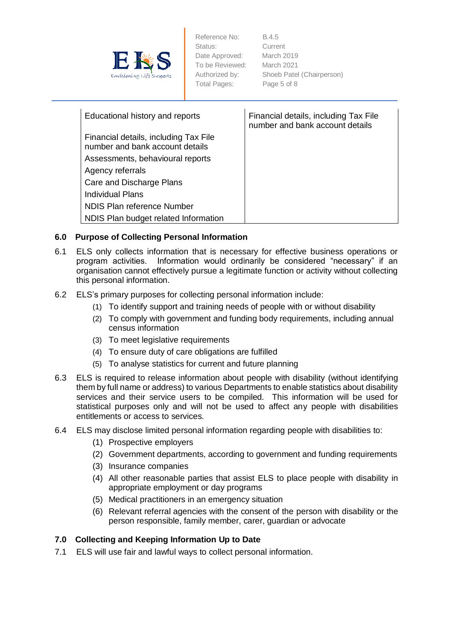

Reference No: B.4.5 Status: Current Date Approved: March 2019 To be Reviewed: March 2021 Total Pages: Page 5 of 8

Authorized by: Shoeb Patel (Chairperson)

| Educational history and reports                                          | Financial details, including Tax File<br>number and bank account details |
|--------------------------------------------------------------------------|--------------------------------------------------------------------------|
| Financial details, including Tax File<br>number and bank account details |                                                                          |
| Assessments, behavioural reports                                         |                                                                          |
| Agency referrals                                                         |                                                                          |
| Care and Discharge Plans                                                 |                                                                          |
| Individual Plans                                                         |                                                                          |
| NDIS Plan reference Number                                               |                                                                          |
| NDIS Plan budget related Information                                     |                                                                          |

## **6.0 Purpose of Collecting Personal Information**

- 6.1 ELS only collects information that is necessary for effective business operations or program activities. Information would ordinarily be considered "necessary" if an organisation cannot effectively pursue a legitimate function or activity without collecting this personal information.
- 6.2 ELS's primary purposes for collecting personal information include:
	- (1) To identify support and training needs of people with or without disability
	- (2) To comply with government and funding body requirements, including annual census information
	- (3) To meet legislative requirements
	- (4) To ensure duty of care obligations are fulfilled
	- (5) To analyse statistics for current and future planning
- 6.3 ELS is required to release information about people with disability (without identifying them by full name or address) to various Departments to enable statistics about disability services and their service users to be compiled. This information will be used for statistical purposes only and will not be used to affect any people with disabilities entitlements or access to services.
- 6.4 ELS may disclose limited personal information regarding people with disabilities to:
	- (1) Prospective employers
	- (2) Government departments, according to government and funding requirements
	- (3) Insurance companies
	- (4) All other reasonable parties that assist ELS to place people with disability in appropriate employment or day programs
	- (5) Medical practitioners in an emergency situation
	- (6) Relevant referral agencies with the consent of the person with disability or the person responsible, family member, carer, guardian or advocate

## **7.0 Collecting and Keeping Information Up to Date**

7.1 ELS will use fair and lawful ways to collect personal information.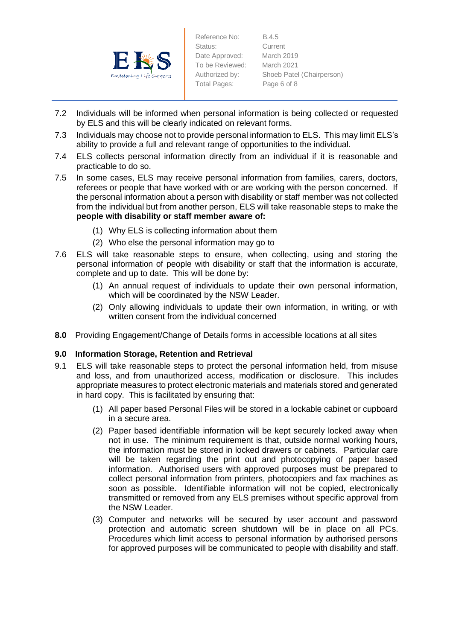

Reference No: B.4.5 Status: Current Date Approved: March 2019 To be Reviewed: March 2021 Total Pages: Page 6 of 8

Authorized by: Shoeb Patel (Chairperson)

- 7.2 Individuals will be informed when personal information is being collected or requested by ELS and this will be clearly indicated on relevant forms.
- 7.3 Individuals may choose not to provide personal information to ELS. This may limit ELS's ability to provide a full and relevant range of opportunities to the individual.
- 7.4 ELS collects personal information directly from an individual if it is reasonable and practicable to do so.
- 7.5 In some cases, ELS may receive personal information from families, carers, doctors, referees or people that have worked with or are working with the person concerned. If the personal information about a person with disability or staff member was not collected from the individual but from another person, ELS will take reasonable steps to make the **people with disability or staff member aware of:**
	- (1) Why ELS is collecting information about them
	- (2) Who else the personal information may go to
- 7.6 ELS will take reasonable steps to ensure, when collecting, using and storing the personal information of people with disability or staff that the information is accurate, complete and up to date. This will be done by:
	- (1) An annual request of individuals to update their own personal information, which will be coordinated by the NSW Leader.
	- (2) Only allowing individuals to update their own information, in writing, or with written consent from the individual concerned
- **8.0** Providing Engagement/Change of Details forms in accessible locations at all sites

### **9.0 Information Storage, Retention and Retrieval**

- 9.1 ELS will take reasonable steps to protect the personal information held, from misuse and loss, and from unauthorized access, modification or disclosure. This includes appropriate measures to protect electronic materials and materials stored and generated in hard copy. This is facilitated by ensuring that:
	- (1) All paper based Personal Files will be stored in a lockable cabinet or cupboard in a secure area.
	- (2) Paper based identifiable information will be kept securely locked away when not in use. The minimum requirement is that, outside normal working hours, the information must be stored in locked drawers or cabinets. Particular care will be taken regarding the print out and photocopying of paper based information. Authorised users with approved purposes must be prepared to collect personal information from printers, photocopiers and fax machines as soon as possible. Identifiable information will not be copied, electronically transmitted or removed from any ELS premises without specific approval from the NSW Leader.
	- (3) Computer and networks will be secured by user account and password protection and automatic screen shutdown will be in place on all PCs. Procedures which limit access to personal information by authorised persons for approved purposes will be communicated to people with disability and staff.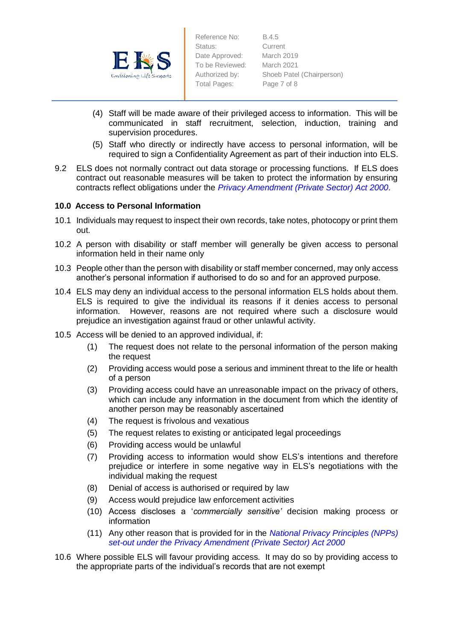

Reference No: B.4.5 Status: Current Date Approved: March 2019 To be Reviewed: March 2021 Total Pages: Page 7 of 8

Authorized by: Shoeb Patel (Chairperson)

- (4) Staff will be made aware of their privileged access to information. This will be communicated in staff recruitment, selection, induction, training and supervision procedures.
- (5) Staff who directly or indirectly have access to personal information, will be required to sign a Confidentiality Agreement as part of their induction into ELS.
- 9.2 ELS does not normally contract out data storage or processing functions. If ELS does contract out reasonable measures will be taken to protect the information by ensuring contracts reflect obligations under the *Privacy Amendment (Private Sector) Act 2000.*

### **10.0 Access to Personal Information**

- 10.1 Individuals may request to inspect their own records, take notes, photocopy or print them out.
- 10.2 A person with disability or staff member will generally be given access to personal information held in their name only
- 10.3 People other than the person with disability or staff member concerned, may only access another's personal information if authorised to do so and for an approved purpose.
- 10.4 ELS may deny an individual access to the personal information ELS holds about them. ELS is required to give the individual its reasons if it denies access to personal information. However, reasons are not required where such a disclosure would prejudice an investigation against fraud or other unlawful activity.
- 10.5 Access will be denied to an approved individual, if:
	- (1) The request does not relate to the personal information of the person making the request
	- (2) Providing access would pose a serious and imminent threat to the life or health of a person
	- (3) Providing access could have an unreasonable impact on the privacy of others, which can include any information in the document from which the identity of another person may be reasonably ascertained
	- (4) The request is frivolous and vexatious
	- (5) The request relates to existing or anticipated legal proceedings
	- (6) Providing access would be unlawful
	- (7) Providing access to information would show ELS's intentions and therefore prejudice or interfere in some negative way in ELS's negotiations with the individual making the request
	- (8) Denial of access is authorised or required by law
	- (9) Access would prejudice law enforcement activities
	- (10) Access discloses a '*commercially sensitive'* decision making process or information
	- (11) Any other reason that is provided for in the *National Privacy Principles (NPPs) set-out under the Privacy Amendment (Private Sector) Act 2000*
- 10.6 Where possible ELS will favour providing access. It may do so by providing access to the appropriate parts of the individual's records that are not exempt